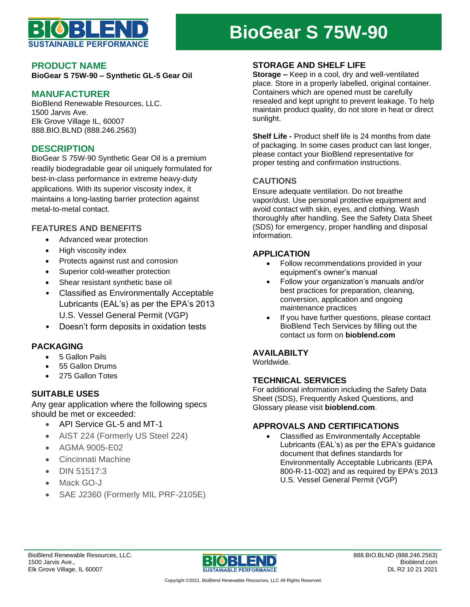

# **BioGear S 75W-90**

## **PRODUCT NAME**

**BioGear S 75W-90 – Synthetic GL-5 Gear Oil**

# **MANUFACTURER**

BioBlend Renewable Resources, LLC. 1500 Jarvis Ave. Elk Grove Village IL, 60007 888.BIO.BLND (888.246.2563)

## **DESCRIPTION**

BioGear S 75W-90 Synthetic Gear Oil is a premium readily biodegradable gear oil uniquely formulated for best-in-class performance in extreme heavy-duty applications. With its superior viscosity index, it maintains a long-lasting barrier protection against metal-to-metal contact.

## **FEATURES AND BENEFITS**

- Advanced wear protection
- High viscosity index
- Protects against rust and corrosion
- Superior cold-weather protection
- Shear resistant synthetic base oil
- Classified as Environmentally Acceptable Lubricants (EAL's) as per the EPA's 2013 U.S. Vessel General Permit (VGP)
- Doesn't form deposits in oxidation tests

#### **PACKAGING**

- 5 Gallon Pails
- 55 Gallon Drums
- 275 Gallon Totes

## **SUITABLE USES**

Any gear application where the following specs should be met or exceeded:

- API Service GL-5 and MT-1
- AIST 224 (Formerly US Steel 224)
- AGMA 9005-E02
- Cincinnati Machine
- DIN 51517:3
- Mack GO-J
- SAE J2360 (Formerly MIL PRF-2105E)

## **STORAGE AND SHELF LIFE**

**Storage –** Keep in a cool, dry and well-ventilated place. Store in a properly labelled, original container. Containers which are opened must be carefully resealed and kept upright to prevent leakage. To help maintain product quality, do not store in heat or direct sunlight.

**Shelf Life -** Product shelf life is 24 months from date of packaging. In some cases product can last longer, please contact your BioBlend representative for proper testing and confirmation instructions.

#### **CAUTIONS**

Ensure adequate ventilation. Do not breathe vapor/dust. Use personal protective equipment and avoid contact with skin, eyes, and clothing. Wash thoroughly after handling. See the Safety Data Sheet (SDS) for emergency, proper handling and disposal information.

#### **APPLICATION**

- Follow recommendations provided in your equipment's owner's manual
- Follow your organization's manuals and/or best practices for preparation, cleaning, conversion, application and ongoing maintenance practices
- If you have further questions, please contact BioBlend Tech Services by filling out the contact us form on **bioblend.com**

#### **AVAILABILTY**

Worldwide.

#### **TECHNICAL SERVICES**

For additional information including the Safety Data Sheet (SDS), Frequently Asked Questions, and Glossary please visit **bioblend.com**.

### **APPROVALS AND CERTIFICATIONS**

• Classified as Environmentally Acceptable Lubricants (EAL's) as per the EPA's guidance document that defines standards for Environmentally Acceptable Lubricants (EPA 800-R-11-002) and as required by EPA's 2013 U.S. Vessel General Permit (VGP)